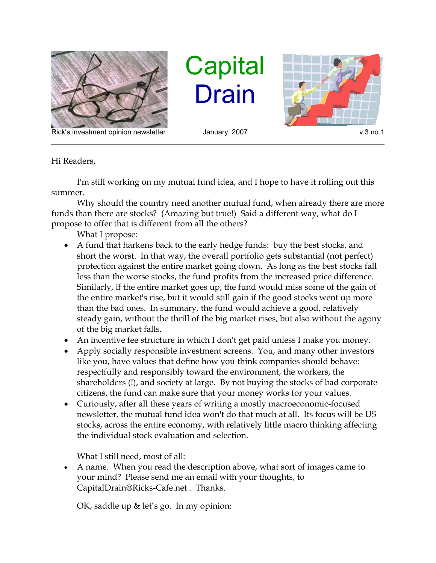

Rick's investment opinion newsletter and January, 2007 and the state of the v.3 no.1

**Capital** Drain



Hi Readers,

I'm still working on my mutual fund idea, and I hope to have it rolling out this summer.

Why should the country need another mutual fund, when already there are more funds than there are stocks? (Amazing but true!) Said a different way, what do I propose to offer that is different from all the others?

What I propose:

- A fund that harkens back to the early hedge funds: buy the best stocks, and short the worst. In that way, the overall portfolio gets substantial (not perfect) protection against the entire market going down. As long as the best stocks fall less than the worse stocks, the fund profits from the increased price difference. Similarly, if the entire market goes up, the fund would miss some of the gain of the entire market's rise, but it would still gain if the good stocks went up more than the bad ones. In summary, the fund would achieve a good, relatively steady gain, without the thrill of the big market rises, but also without the agony of the big market falls.
- An incentive fee structure in which I don't get paid unless I make you money.
- Apply socially responsible investment screens. You, and many other investors like you, have values that define how you think companies should behave: respectfully and responsibly toward the environment, the workers, the shareholders (!), and society at large. By not buying the stocks of bad corporate citizens, the fund can make sure that your money works for your values.
- Curiously, after all these years of writing a mostly macroeconomic-focused newsletter, the mutual fund idea won't do that much at all. Its focus will be US stocks, across the entire economy, with relatively little macro thinking affecting the individual stock evaluation and selection.

What I still need, most of all:

 A name. When you read the description above, what sort of images came to your mind? Please send me an email with your thoughts, to CapitalDrain@Ricks-Cafe.net . Thanks.

OK, saddle up & let's go. In my opinion: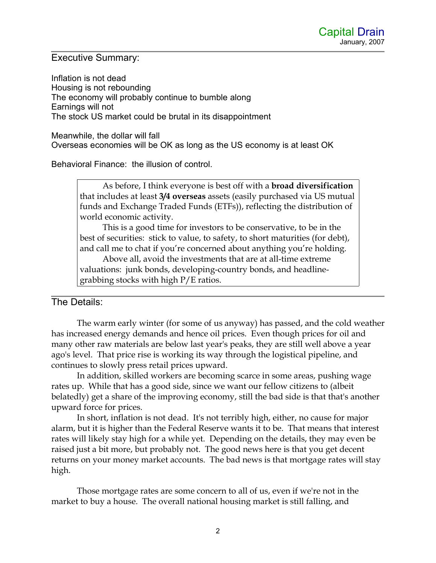## Executive Summary:

Inflation is not dead Housing is not rebounding The economy will probably continue to bumble along Earnings will not The stock US market could be brutal in its disappointment

Meanwhile, the dollar will fall Overseas economies will be OK as long as the US economy is at least OK

Behavioral Finance: the illusion of control.

As before, I think everyone is best off with a **broad diversification** that includes at least **3/4 overseas** assets (easily purchased via US mutual funds and Exchange Traded Funds (ETFs)), reflecting the distribution of world economic activity.

This is a good time for investors to be conservative, to be in the best of securities: stick to value, to safety, to short maturities (for debt), and call me to chat if you're concerned about anything you're holding.

Above all, avoid the investments that are at all-time extreme valuations: junk bonds, developing-country bonds, and headlinegrabbing stocks with high P/E ratios.

## The Details:

The warm early winter (for some of us anyway) has passed, and the cold weather has increased energy demands and hence oil prices. Even though prices for oil and many other raw materials are below last year's peaks, they are still well above a year ago's level. That price rise is working its way through the logistical pipeline, and continues to slowly press retail prices upward.

In addition, skilled workers are becoming scarce in some areas, pushing wage rates up. While that has a good side, since we want our fellow citizens to (albeit belatedly) get a share of the improving economy, still the bad side is that that's another upward force for prices.

In short, inflation is not dead. It's not terribly high, either, no cause for major alarm, but it is higher than the Federal Reserve wants it to be. That means that interest rates will likely stay high for a while yet. Depending on the details, they may even be raised just a bit more, but probably not. The good news here is that you get decent returns on your money market accounts. The bad news is that mortgage rates will stay high.

Those mortgage rates are some concern to all of us, even if we're not in the market to buy a house. The overall national housing market is still falling, and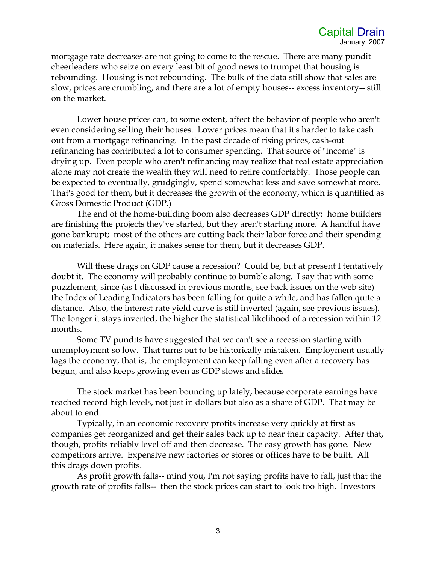mortgage rate decreases are not going to come to the rescue. There are many pundit cheerleaders who seize on every least bit of good news to trumpet that housing is rebounding. Housing is not rebounding. The bulk of the data still show that sales are slow, prices are crumbling, and there are a lot of empty houses-- excess inventory-- still on the market.

Lower house prices can, to some extent, affect the behavior of people who aren't even considering selling their houses. Lower prices mean that it's harder to take cash out from a mortgage refinancing. In the past decade of rising prices, cash-out refinancing has contributed a lot to consumer spending. That source of "income" is drying up. Even people who aren't refinancing may realize that real estate appreciation alone may not create the wealth they will need to retire comfortably. Those people can be expected to eventually, grudgingly, spend somewhat less and save somewhat more. That's good for them, but it decreases the growth of the economy, which is quantified as Gross Domestic Product (GDP.)

The end of the home-building boom also decreases GDP directly: home builders are finishing the projects they've started, but they aren't starting more. A handful have gone bankrupt; most of the others are cutting back their labor force and their spending on materials. Here again, it makes sense for them, but it decreases GDP.

Will these drags on GDP cause a recession? Could be, but at present I tentatively doubt it. The economy will probably continue to bumble along. I say that with some puzzlement, since (as I discussed in previous months, see back issues on the web site) the Index of Leading Indicators has been falling for quite a while, and has fallen quite a distance. Also, the interest rate yield curve is still inverted (again, see previous issues). The longer it stays inverted, the higher the statistical likelihood of a recession within 12 months.

Some TV pundits have suggested that we can't see a recession starting with unemployment so low. That turns out to be historically mistaken. Employment usually lags the economy, that is, the employment can keep falling even after a recovery has begun, and also keeps growing even as GDP slows and slides

The stock market has been bouncing up lately, because corporate earnings have reached record high levels, not just in dollars but also as a share of GDP. That may be about to end.

Typically, in an economic recovery profits increase very quickly at first as companies get reorganized and get their sales back up to near their capacity. After that, though, profits reliably level off and then decrease. The easy growth has gone. New competitors arrive. Expensive new factories or stores or offices have to be built. All this drags down profits.

As profit growth falls-- mind you, I'm not saying profits have to fall, just that the growth rate of profits falls-- then the stock prices can start to look too high. Investors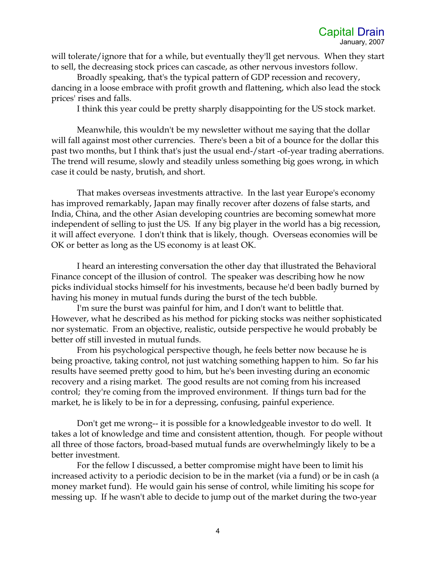will tolerate/ignore that for a while, but eventually they'll get nervous. When they start to sell, the decreasing stock prices can cascade, as other nervous investors follow.

Broadly speaking, that's the typical pattern of GDP recession and recovery, dancing in a loose embrace with profit growth and flattening, which also lead the stock prices' rises and falls.

I think this year could be pretty sharply disappointing for the US stock market.

Meanwhile, this wouldn't be my newsletter without me saying that the dollar will fall against most other currencies. There's been a bit of a bounce for the dollar this past two months, but I think that's just the usual end-/start -of-year trading aberrations. The trend will resume, slowly and steadily unless something big goes wrong, in which case it could be nasty, brutish, and short.

That makes overseas investments attractive. In the last year Europe's economy has improved remarkably, Japan may finally recover after dozens of false starts, and India, China, and the other Asian developing countries are becoming somewhat more independent of selling to just the US. If any big player in the world has a big recession, it will affect everyone. I don't think that is likely, though. Overseas economies will be OK or better as long as the US economy is at least OK.

I heard an interesting conversation the other day that illustrated the Behavioral Finance concept of the illusion of control. The speaker was describing how he now picks individual stocks himself for his investments, because he'd been badly burned by having his money in mutual funds during the burst of the tech bubble.

I'm sure the burst was painful for him, and I don't want to belittle that. However, what he described as his method for picking stocks was neither sophisticated nor systematic. From an objective, realistic, outside perspective he would probably be better off still invested in mutual funds.

From his psychological perspective though, he feels better now because he is being proactive, taking control, not just watching something happen to him. So far his results have seemed pretty good to him, but he's been investing during an economic recovery and a rising market. The good results are not coming from his increased control; they're coming from the improved environment. If things turn bad for the market, he is likely to be in for a depressing, confusing, painful experience.

Don't get me wrong-- it is possible for a knowledgeable investor to do well. It takes a lot of knowledge and time and consistent attention, though. For people without all three of those factors, broad-based mutual funds are overwhelmingly likely to be a better investment.

For the fellow I discussed, a better compromise might have been to limit his increased activity to a periodic decision to be in the market (via a fund) or be in cash (a money market fund). He would gain his sense of control, while limiting his scope for messing up. If he wasn't able to decide to jump out of the market during the two-year